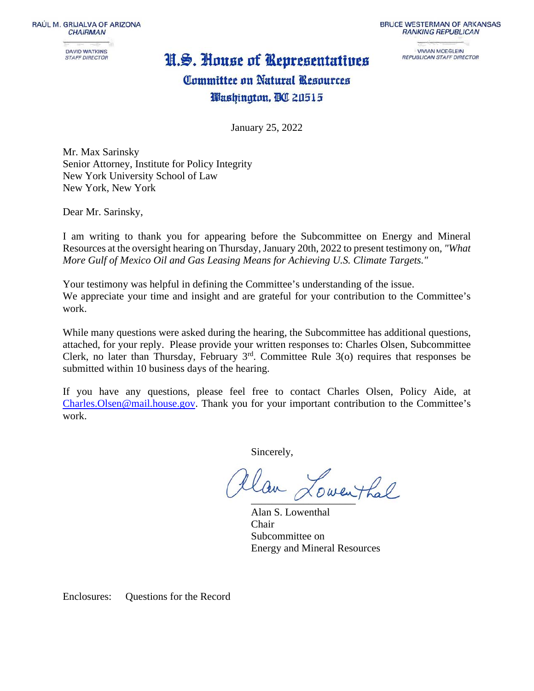RAÚL M. GRIJALVA OF ARIZONA **CHAIRMAN** 

> **DAVID WATKINS STAFF DIRECTOR**

# N.S. House of Representatives

**BRUCE WESTERMAN OF ARKANSAS RANKING REPUBLICAN** 

> **VIVIAN MOEGLEIN** REPUBLICAN STAFF DIRECTOR

# Committee on Natural Resources Washington, BC 20515

January 25, 2022

Mr. Max Sarinsky Senior Attorney, Institute for Policy Integrity New York University School of Law New York, New York

Dear Mr. Sarinsky,

I am writing to thank you for appearing before the Subcommittee on Energy and Mineral Resources at the oversight hearing on Thursday, January 20th, 2022 to present testimony on*, "What More Gulf of Mexico Oil and Gas Leasing Means for Achieving U.S. Climate Targets."*

Your testimony was helpful in defining the Committee's understanding of the issue. We appreciate your time and insight and are grateful for your contribution to the Committee's work.

While many questions were asked during the hearing, the Subcommittee has additional questions, attached, for your reply. Please provide your written responses to: Charles Olsen, Subcommittee Clerk, no later than Thursday, February  $3<sup>rd</sup>$ . Committee Rule 3(o) requires that responses be submitted within 10 business days of the hearing.

If you have any questions, please feel free to contact Charles Olsen, Policy Aide, at [Charles.Olsen@mail.house.gov.](mailto:Charles.Olsen@mail.house.gov) Thank you for your important contribution to the Committee's work.

Sincerely,

tlan Lowenthal

Alan S. Lowenthal Chair Subcommittee on Energy and Mineral Resources

Enclosures: Questions for the Record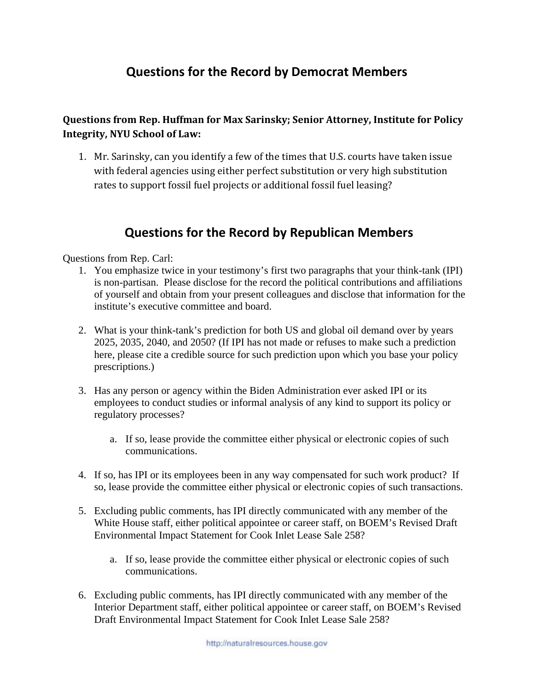## **Questions for the Record by Democrat Members**

### **Questions from Rep. Huffman for Max Sarinsky; Senior Attorney, Institute for Policy Integrity, NYU School of Law:**

1. Mr. Sarinsky, can you identify a few of the times that U.S. courts have taken issue with federal agencies using either perfect substitution or very high substitution rates to support fossil fuel projects or additional fossil fuel leasing?

### **Questions for the Record by Republican Members**

Questions from Rep. Carl:

- 1. You emphasize twice in your testimony's first two paragraphs that your think-tank (IPI) is non-partisan. Please disclose for the record the political contributions and affiliations of yourself and obtain from your present colleagues and disclose that information for the institute's executive committee and board.
- 2. What is your think-tank's prediction for both US and global oil demand over by years 2025, 2035, 2040, and 2050? (If IPI has not made or refuses to make such a prediction here, please cite a credible source for such prediction upon which you base your policy prescriptions.)
- 3. Has any person or agency within the Biden Administration ever asked IPI or its employees to conduct studies or informal analysis of any kind to support its policy or regulatory processes?
	- a. If so, lease provide the committee either physical or electronic copies of such communications.
- 4. If so, has IPI or its employees been in any way compensated for such work product? If so, lease provide the committee either physical or electronic copies of such transactions.
- 5. Excluding public comments, has IPI directly communicated with any member of the White House staff, either political appointee or career staff, on BOEM's Revised Draft Environmental Impact Statement for Cook Inlet Lease Sale 258?
	- a. If so, lease provide the committee either physical or electronic copies of such communications.
- 6. Excluding public comments, has IPI directly communicated with any member of the Interior Department staff, either political appointee or career staff, on BOEM's Revised Draft Environmental Impact Statement for Cook Inlet Lease Sale 258?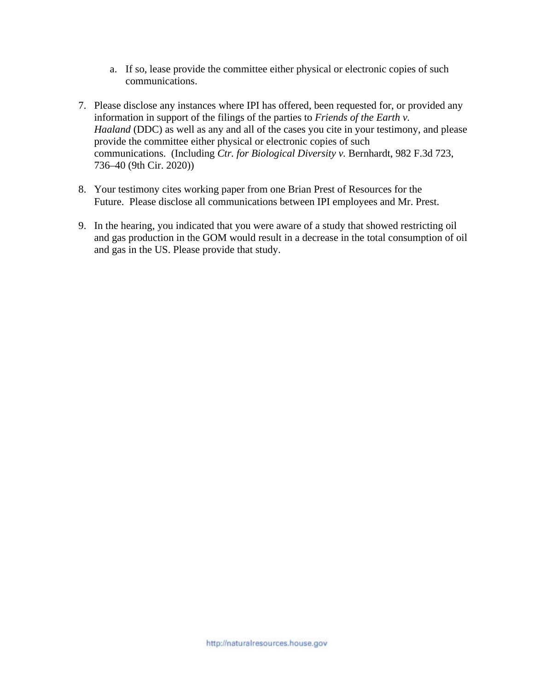- a. If so, lease provide the committee either physical or electronic copies of such communications.
- 7. Please disclose any instances where IPI has offered, been requested for, or provided any information in support of the filings of the parties to *Friends of the Earth v. Haaland* (DDC) as well as any and all of the cases you cite in your testimony, and please provide the committee either physical or electronic copies of such communications. (Including *Ctr. for Biological Diversity v.* Bernhardt, 982 F.3d 723, 736–40 (9th Cir. 2020))
- 8. Your testimony cites working paper from one Brian Prest of Resources for the Future. Please disclose all communications between IPI employees and Mr. Prest.
- 9. In the hearing, you indicated that you were aware of a study that showed restricting oil and gas production in the GOM would result in a decrease in the total consumption of oil and gas in the US. Please provide that study.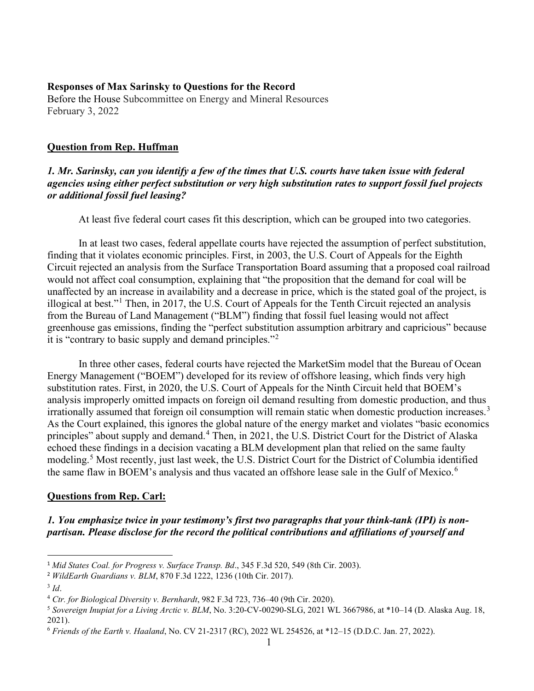#### **Responses of Max Sarinsky to Questions for the Record**

Before the House Subcommittee on Energy and Mineral Resources February 3, 2022

#### **Question from Rep. Huffman**

#### *1. Mr. Sarinsky, can you identify a few of the times that U.S. courts have taken issue with federal agencies using either perfect substitution or very high substitution rates to support fossil fuel projects or additional fossil fuel leasing?*

At least five federal court cases fit this description, which can be grouped into two categories.

In at least two cases, federal appellate courts have rejected the assumption of perfect substitution, finding that it violates economic principles. First, in 2003, the U.S. Court of Appeals for the Eighth Circuit rejected an analysis from the Surface Transportation Board assuming that a proposed coal railroad would not affect coal consumption, explaining that "the proposition that the demand for coal will be unaffected by an increase in availability and a decrease in price, which is the stated goal of the project, is illogical at best."[1](#page-3-0) Then, in 2017, the U.S. Court of Appeals for the Tenth Circuit rejected an analysis from the Bureau of Land Management ("BLM") finding that fossil fuel leasing would not affect greenhouse gas emissions, finding the "perfect substitution assumption arbitrary and capricious" because it is "contrary to basic supply and demand principles."[2](#page-3-1)

In three other cases, federal courts have rejected the MarketSim model that the Bureau of Ocean Energy Management ("BOEM") developed for its review of offshore leasing, which finds very high substitution rates. First, in 2020, the U.S. Court of Appeals for the Ninth Circuit held that BOEM's analysis improperly omitted impacts on foreign oil demand resulting from domestic production, and thus irrationally assumed that foreign oil consumption will remain static when domestic production increases.<sup>[3](#page-3-2)</sup> As the Court explained, this ignores the global nature of the energy market and violates "basic economics principles" about supply and demand.<sup>[4](#page-3-3)</sup> Then, in 2021, the U.S. District Court for the District of Alaska echoed these findings in a decision vacating a BLM development plan that relied on the same faulty modeling.[5](#page-3-4) Most recently, just last week, the U.S. District Court for the District of Columbia identified the same flaw in BOEM's analysis and thus vacated an offshore lease sale in the Gulf of Mexico.<sup>[6](#page-3-5)</sup>

#### **Questions from Rep. Carl:**

*1. You emphasize twice in your testimony's first two paragraphs that your think-tank (IPI) is nonpartisan. Please disclose for the record the political contributions and affiliations of yourself and* 

<span id="page-3-0"></span><sup>1</sup> *Mid States Coal. for Progress v. Surface Transp. Bd*., 345 F.3d 520, 549 (8th Cir. 2003).

<span id="page-3-1"></span><sup>2</sup> *WildEarth Guardians v. BLM*, 870 F.3d 1222, 1236 (10th Cir. 2017).

<span id="page-3-2"></span><sup>3</sup> *Id*.

<span id="page-3-3"></span><sup>4</sup> *Ctr. for Biological Diversity v. Bernhardt*, 982 F.3d 723, 736–40 (9th Cir. 2020).

<span id="page-3-4"></span><sup>5</sup> *Sovereign Inupiat for a Living Arctic v. BLM*, No. 3:20-CV-00290-SLG, 2021 WL 3667986, at \*10–14 (D. Alaska Aug. 18, 2021).

<span id="page-3-5"></span><sup>6</sup> *Friends of the Earth v. Haaland*, No. CV 21-2317 (RC), 2022 WL 254526, at \*12–15 (D.D.C. Jan. 27, 2022).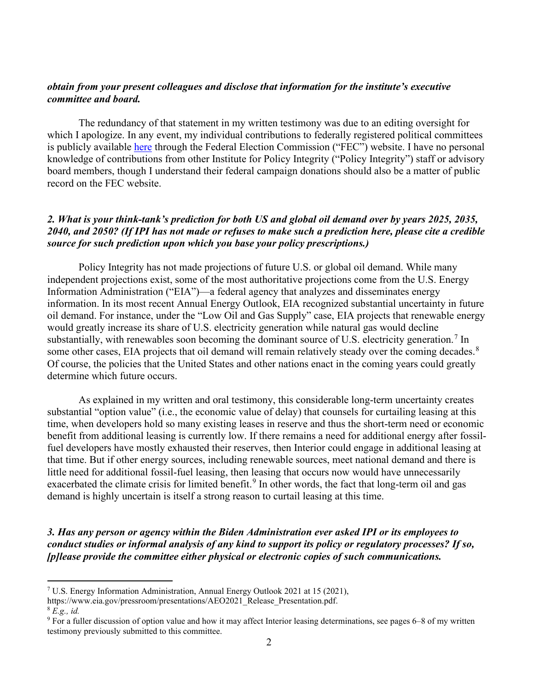#### *obtain from your present colleagues and disclose that information for the institute's executive committee and board.*

The redundancy of that statement in my written testimony was due to an editing oversight for which I apologize. In any event, my individual contributions to federally registered political committees is publicly available [here](https://www.fec.gov/data/receipts/individual-contributions/?contributor_name=FEC+-+Campaign+Finance+Reports+and+Data&contributor_name=max+sarinsky) through the Federal Election Commission ("FEC") website. I have no personal knowledge of contributions from other Institute for Policy Integrity ("Policy Integrity") staff or advisory board members, though I understand their federal campaign donations should also be a matter of public record on the FEC website.

#### *2. What is your think-tank's prediction for both US and global oil demand over by years 2025, 2035, 2040, and 2050? (If IPI has not made or refuses to make such a prediction here, please cite a credible source for such prediction upon which you base your policy prescriptions.)*

Policy Integrity has not made projections of future U.S. or global oil demand. While many independent projections exist, some of the most authoritative projections come from the U.S. Energy Information Administration ("EIA")—a federal agency that analyzes and disseminates energy information. In its most recent Annual Energy Outlook, EIA recognized substantial uncertainty in future oil demand. For instance, under the "Low Oil and Gas Supply" case, EIA projects that renewable energy would greatly increase its share of U.S. electricity generation while natural gas would decline substantially, with renewables soon becoming the dominant source of U.S. electricity generation.<sup>[7](#page-4-0)</sup> In some other cases, EIA projects that oil demand will remain relatively steady over the coming decades.<sup>[8](#page-4-1)</sup> Of course, the policies that the United States and other nations enact in the coming years could greatly determine which future occurs.

As explained in my written and oral testimony, this considerable long-term uncertainty creates substantial "option value" (i.e., the economic value of delay) that counsels for curtailing leasing at this time, when developers hold so many existing leases in reserve and thus the short-term need or economic benefit from additional leasing is currently low. If there remains a need for additional energy after fossilfuel developers have mostly exhausted their reserves, then Interior could engage in additional leasing at that time. But if other energy sources, including renewable sources, meet national demand and there is little need for additional fossil-fuel leasing, then leasing that occurs now would have unnecessarily exacerbated the climate crisis for limited benefit.<sup>[9](#page-4-2)</sup> In other words, the fact that long-term oil and gas demand is highly uncertain is itself a strong reason to curtail leasing at this time.

*3. Has any person or agency within the Biden Administration ever asked IPI or its employees to conduct studies or informal analysis of any kind to support its policy or regulatory processes? If so, [p]lease provide the committee either physical or electronic copies of such communications.* 

<span id="page-4-0"></span><sup>7</sup> U.S. Energy Information Administration, Annual Energy Outlook 2021 at 15 (2021),

https://www.eia.gov/pressroom/presentations/AEO2021\_Release\_Presentation.pdf.

<span id="page-4-1"></span><sup>8</sup> *E.g., id.*

<span id="page-4-2"></span><sup>9</sup> For a fuller discussion of option value and how it may affect Interior leasing determinations, see pages 6–8 of my written testimony previously submitted to this committee.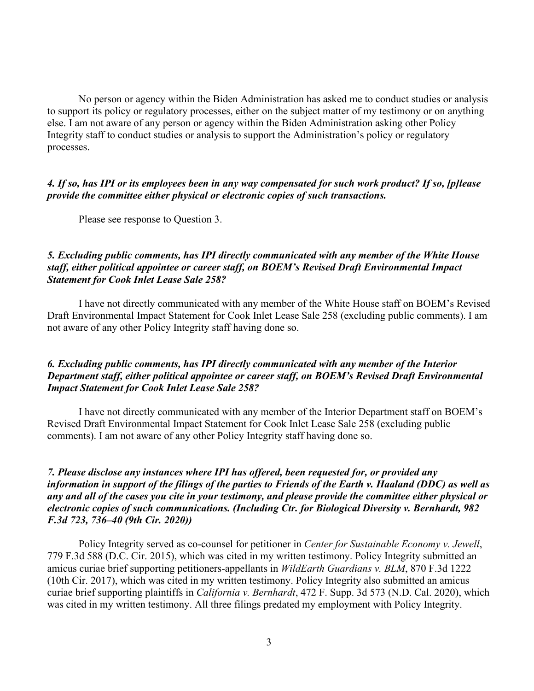No person or agency within the Biden Administration has asked me to conduct studies or analysis to support its policy or regulatory processes, either on the subject matter of my testimony or on anything else. I am not aware of any person or agency within the Biden Administration asking other Policy Integrity staff to conduct studies or analysis to support the Administration's policy or regulatory processes.

#### *4. If so, has IPI or its employees been in any way compensated for such work product? If so, [p]lease provide the committee either physical or electronic copies of such transactions.*

Please see response to Question 3.

#### *5. Excluding public comments, has IPI directly communicated with any member of the White House staff, either political appointee or career staff, on BOEM's Revised Draft Environmental Impact Statement for Cook Inlet Lease Sale 258?*

I have not directly communicated with any member of the White House staff on BOEM's Revised Draft Environmental Impact Statement for Cook Inlet Lease Sale 258 (excluding public comments). I am not aware of any other Policy Integrity staff having done so.

#### *6. Excluding public comments, has IPI directly communicated with any member of the Interior Department staff, either political appointee or career staff, on BOEM's Revised Draft Environmental Impact Statement for Cook Inlet Lease Sale 258?*

I have not directly communicated with any member of the Interior Department staff on BOEM's Revised Draft Environmental Impact Statement for Cook Inlet Lease Sale 258 (excluding public comments). I am not aware of any other Policy Integrity staff having done so.

#### *7. Please disclose any instances where IPI has offered, been requested for, or provided any information in support of the filings of the parties to Friends of the Earth v. Haaland (DDC) as well as any and all of the cases you cite in your testimony, and please provide the committee either physical or electronic copies of such communications. (Including Ctr. for Biological Diversity v. Bernhardt, 982 F.3d 723, 736–40 (9th Cir. 2020))*

Policy Integrity served as co-counsel for petitioner in *Center for Sustainable Economy v. Jewell*, 779 F.3d 588 (D.C. Cir. 2015), which was cited in my written testimony. Policy Integrity submitted an amicus curiae brief supporting petitioners-appellants in *WildEarth Guardians v. BLM*, 870 F.3d 1222 (10th Cir. 2017), which was cited in my written testimony. Policy Integrity also submitted an amicus curiae brief supporting plaintiffs in *California v. Bernhardt*, 472 F. Supp. 3d 573 (N.D. Cal. 2020), which was cited in my written testimony. All three filings predated my employment with Policy Integrity.